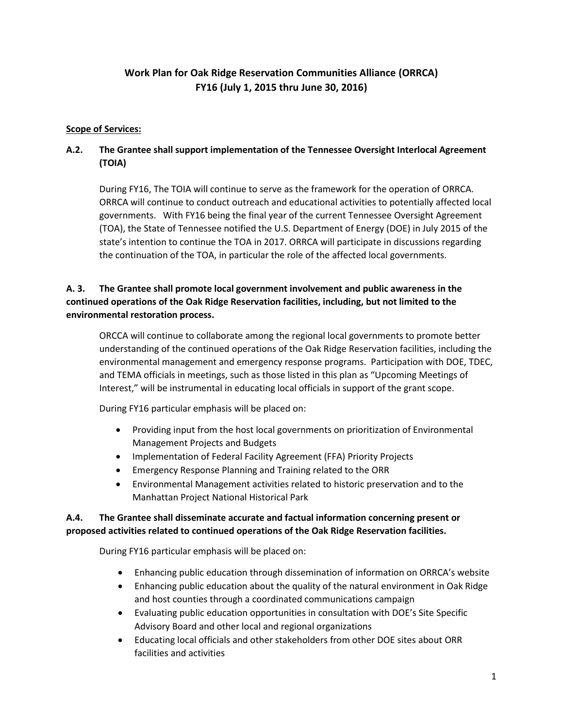# **Work Plan for Oak Ridge Reservation Communities Alliance (ORRCA) FY16 (July 1, 2015 thru June 30, 2016)**

# **Scope of Services:**

# **A.2. The Grantee shall support implementation of the Tennessee Oversight Interlocal Agreement (TOIA)**

During FY16, The TOIA will continue to serve as the framework for the operation of ORRCA. ORRCA will continue to conduct outreach and educational activities to potentially affected local governments. With FY16 being the final year of the current Tennessee Oversight Agreement (TOA), the State of Tennessee notified the U.S. Department of Energy (DOE) in July 2015 of the state's intention to continue the TOA in 2017. ORRCA will participate in discussions regarding the continuation of the TOA, in particular the role of the affected local governments.

# **A. 3. The Grantee shall promote local government involvement and public awareness in the continued operations of the Oak Ridge Reservation facilities, including, but not limited to the environmental restoration process.**

ORCCA will continue to collaborate among the regional local governments to promote better understanding of the continued operations of the Oak Ridge Reservation facilities, including the environmental management and emergency response programs. Participation with DOE, TDEC, and TEMA officials in meetings, such as those listed in this plan as "Upcoming Meetings of Interest," will be instrumental in educating local officials in support of the grant scope.

During FY16 particular emphasis will be placed on:

- Providing input from the host local governments on prioritization of Environmental Management Projects and Budgets
- Implementation of Federal Facility Agreement (FFA) Priority Projects
- Emergency Response Planning and Training related to the ORR
- Environmental Management activities related to historic preservation and to the Manhattan Project National Historical Park

# **A.4. The Grantee shall disseminate accurate and factual information concerning present or proposed activities related to continued operations of the Oak Ridge Reservation facilities.**

During FY16 particular emphasis will be placed on:

- Enhancing public education through dissemination of information on ORRCA's website
- Enhancing public education about the quality of the natural environment in Oak Ridge and host counties through a coordinated communications campaign
- Evaluating public education opportunities in consultation with DOE's Site Specific Advisory Board and other local and regional organizations
- Educating local officials and other stakeholders from other DOE sites about ORR facilities and activities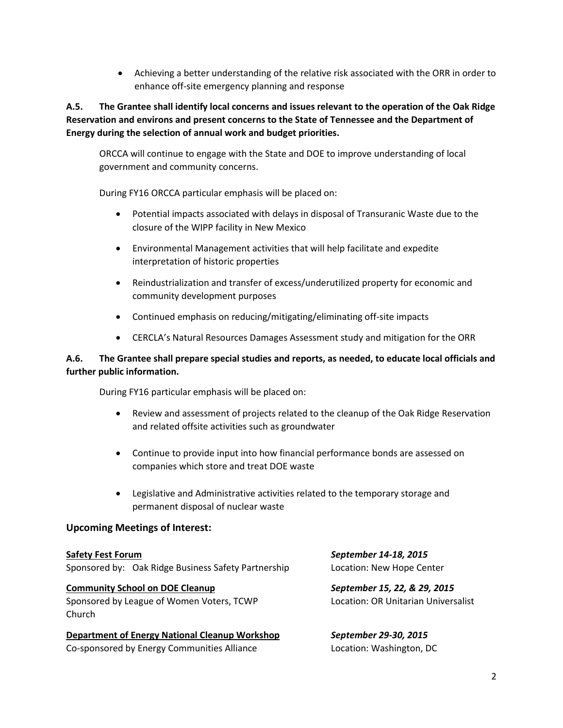Achieving a better understanding of the relative risk associated with the ORR in order to enhance off-site emergency planning and response

**A.5. The Grantee shall identify local concerns and issues relevant to the operation of the Oak Ridge Reservation and environs and present concerns to the State of Tennessee and the Department of Energy during the selection of annual work and budget priorities.**

ORCCA will continue to engage with the State and DOE to improve understanding of local government and community concerns.

During FY16 ORCCA particular emphasis will be placed on:

- Potential impacts associated with delays in disposal of Transuranic Waste due to the closure of the WIPP facility in New Mexico
- Environmental Management activities that will help facilitate and expedite interpretation of historic properties
- Reindustrialization and transfer of excess/underutilized property for economic and community development purposes
- Continued emphasis on reducing/mitigating/eliminating off-site impacts
- CERCLA's Natural Resources Damages Assessment study and mitigation for the ORR

### **A.6. The Grantee shall prepare special studies and reports, as needed, to educate local officials and further public information.**

During FY16 particular emphasis will be placed on:

- Review and assessment of projects related to the cleanup of the Oak Ridge Reservation and related offsite activities such as groundwater
- Continue to provide input into how financial performance bonds are assessed on companies which store and treat DOE waste
- Legislative and Administrative activities related to the temporary storage and permanent disposal of nuclear waste

### **Upcoming Meetings of Interest:**

**Safety Fest Forum** *September 14-18, 2015* Sponsored by: Oak Ridge Business Safety Partnership Location: New Hope Center

**Community School on DOE Cleanup** *September 15, 22, & 29, 2015* Sponsored by League of Women Voters, TCWP Location: OR Unitarian Universalist Church

**Department of Energy National Cleanup Workshop** *September 29-30, 2015* Co-sponsored by Energy Communities Alliance Location: Washington, DC